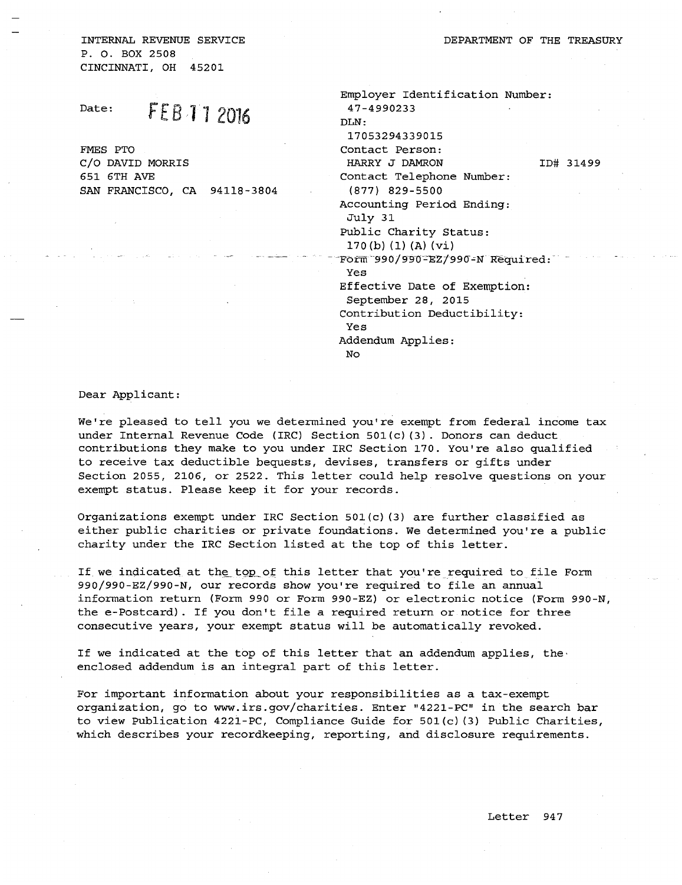INTERNAL REVENUE SERVICE P.O. BOX 2508 CINCINNATI, OH 45201

Date: **FEB 11 2016** 

SAN FRANCISCO, CA 94118-3804

FMES PTO

C/0 DAVID MORRIS 651 6TH AVE

Employer Identification Number: 47-4990233 DLN: 17053294339015 Contact Person: HARRY J DAMRON Contact Telephone Number: (877) 829-5500 Accounting Period Ending: July 31 Public Charity Status: 170 (b) (1) (A) (vi) ID# 31499  $Forrm^-990/990-EZ/990-N$  Required: Yes Effective Date of Exemption: September 28, 2015 Contribution Deductibility: Yes Addendum Applies: No

Dear Applicant:

We're pleased to tell you we determined you're exempt from federal income tax under Internal Revenue Code (IRC) Section 50l(c) (3). Donors can deduct contributions they make to you under IRC Section 170. You're also qualified to receive tax deductible bequests, devises, transfers or gifts under Section 2055, 2106, or 2522. This letter could help resolve questions on your exempt status. Please keep it for your records.

Organizations exempt under IRC Section 501(c) (3) are further classified as either public charities or private foundations. We determined you're a public charity under the IRC Section listed at the top of this letter.

If we indicated at the top of this letter that you're required to file Form 990/990-EZ/990-N, our records show you're required to file an annual information return (Form 990 or Form 990-EZ) or electronic notice (Form 990-N, the e-Postcard). If you don't file a required return or notice for three consecutive years, your exempt status will be automatically revoked.

If we indicated at the top of this letter that an addendum applies, the· enclosed addendum is an integral part of this letter.

For important information about your responsibilities as a tax-exempt organization, go to www.irs.gov/charities. Enter "4221-PC" in the search bar to view Publication 4221-PC, Compliance Guide for  $501(c)$  (3) Public Charities, which describes your recordkeeping, reporting, and disclosure requirements.